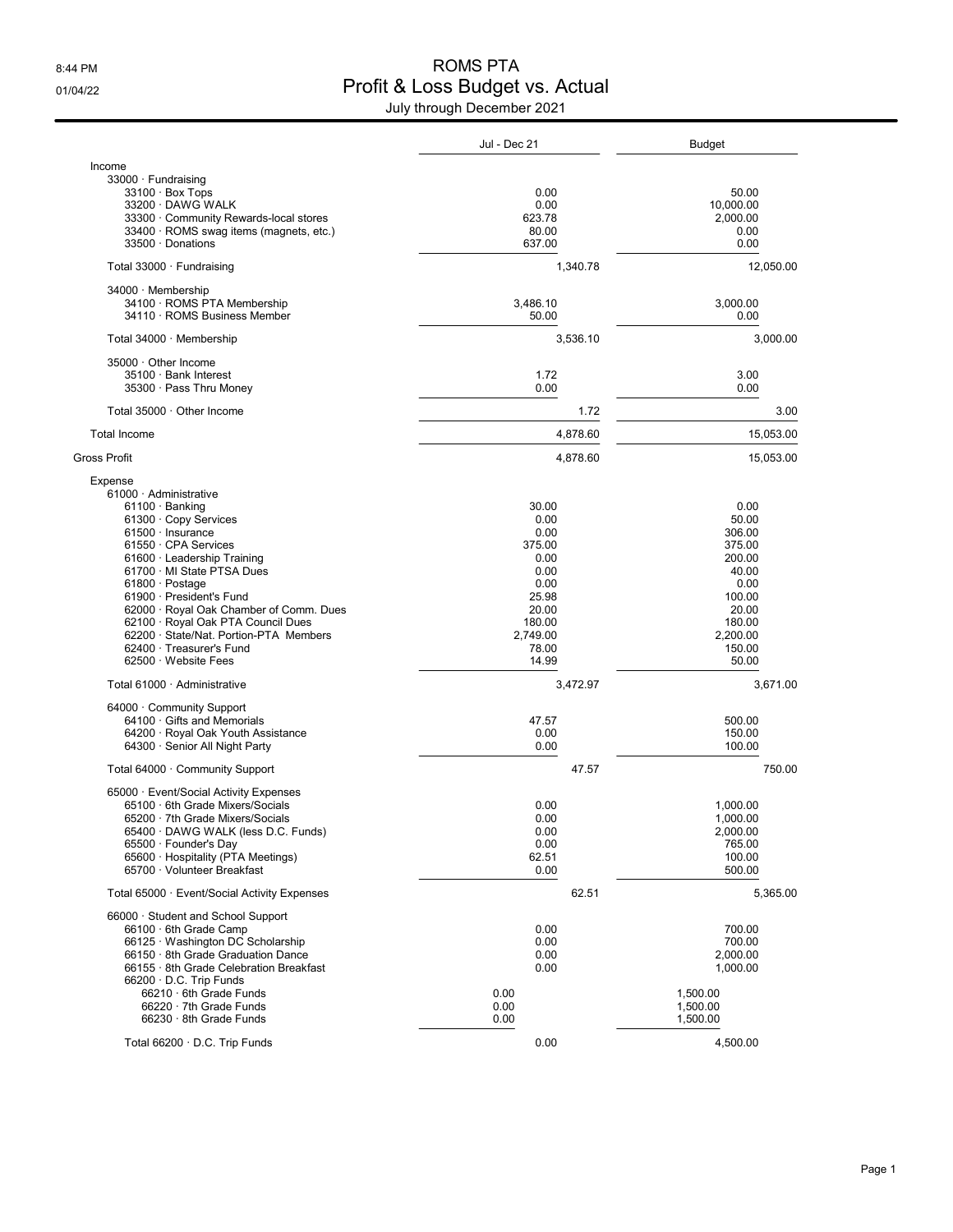## 8:44 PM ROMS PTA 01/04/22 Onlie Profit & Loss Budget vs. Actual July through December 2021

|                                                             | Jul - Dec 21   | <b>Budget</b>    |
|-------------------------------------------------------------|----------------|------------------|
| Income                                                      |                |                  |
| 33000 · Fundraising                                         |                |                  |
| $33100 \cdot$ Box Tops                                      | 0.00           | 50.00            |
| 33200 DAWG WALK                                             | 0.00           | 10,000.00        |
| 33300 Community Rewards-local stores                        | 623.78         | 2,000.00         |
| 33400 · ROMS swag items (magnets, etc.)                     | 80.00          | 0.00             |
| 33500 Donations                                             | 637.00         | 0.00             |
| Total 33000 Fundraising                                     | 1,340.78       | 12,050.00        |
| 34000 Membership                                            |                |                  |
| 34100 · ROMS PTA Membership                                 | 3,486.10       | 3,000.00         |
| 34110 · ROMS Business Member                                | 50.00          | 0.00             |
| Total 34000 Membership                                      | 3,536.10       | 3,000.00         |
| 35000 Other Income                                          |                |                  |
| 35100 · Bank Interest                                       | 1.72           | 3.00             |
| 35300 · Pass Thru Money                                     | 0.00           | 0.00             |
| Total 35000 Other Income                                    | 1.72           | 3.00             |
| <b>Total Income</b>                                         | 4,878.60       | 15,053.00        |
| Gross Profit                                                | 4,878.60       | 15,053.00        |
| Expense                                                     |                |                  |
| 61000 Administrative                                        |                |                  |
| 61100 · Banking                                             | 30.00          | 0.00             |
| 61300 Copy Services                                         | 0.00           | 50.00            |
| $61500 \cdot$ Insurance                                     | 0.00           | 306.00           |
| 61550 CPA Services                                          | 375.00<br>0.00 | 375.00<br>200.00 |
| 61600 Leadership Training<br>61700 · MI State PTSA Dues     | 0.00           | 40.00            |
| 61800 · Postage                                             | 0.00           | 0.00             |
| 61900 · President's Fund                                    | 25.98          | 100.00           |
| 62000 · Royal Oak Chamber of Comm. Dues                     | 20.00          | 20.00            |
| 62100 · Royal Oak PTA Council Dues                          | 180.00         | 180.00           |
| 62200 · State/Nat. Portion-PTA Members                      | 2,749.00       | 2,200.00         |
| 62400 · Treasurer's Fund                                    | 78.00          | 150.00           |
| 62500 Website Fees                                          | 14.99          | 50.00            |
| Total 61000 Administrative                                  | 3,472.97       | 3,671.00         |
| 64000 Community Support                                     |                |                  |
| 64100 Gifts and Memorials                                   | 47.57          | 500.00           |
| 64200 · Royal Oak Youth Assistance                          | 0.00           | 150.00           |
| 64300 · Senior All Night Party                              | 0.00           | 100.00           |
| Total 64000 · Community Support                             | 47.57          | 750.00           |
| 65000 · Event/Social Activity Expenses                      |                |                  |
| 65100 6th Grade Mixers/Socials                              | 0.00           | 1,000.00         |
| 65200 7th Grade Mixers/Socials                              | 0.00           | 1.000.00         |
| 65400 · DAWG WALK (less D.C. Funds)                         | 0.00           | 2,000.00         |
| 65500 · Founder's Day<br>65600 · Hospitality (PTA Meetings) | 0.00<br>62.51  | 765.00<br>100.00 |
| 65700 · Volunteer Breakfast                                 | 0.00           | 500.00           |
| Total 65000 · Event/Social Activity Expenses                | 62.51          | 5,365.00         |
| 66000 · Student and School Support                          |                |                  |
| 66100 · 6th Grade Camp                                      | 0.00           | 700.00           |
| 66125 · Washington DC Scholarship                           | 0.00           | 700.00           |
| 66150 · 8th Grade Graduation Dance                          | 0.00           | 2,000.00         |
| 66155 · 8th Grade Celebration Breakfast                     | 0.00           | 1,000.00         |
| 66200 D.C. Trip Funds                                       |                |                  |
| 66210 · 6th Grade Funds                                     | 0.00           | 1.500.00         |
| 66220 · 7th Grade Funds                                     | 0.00           | 1,500.00         |
| 66230 · 8th Grade Funds                                     | 0.00           | 1,500.00         |
| Total 66200 · D.C. Trip Funds                               | 0.00           | 4,500.00         |
|                                                             |                |                  |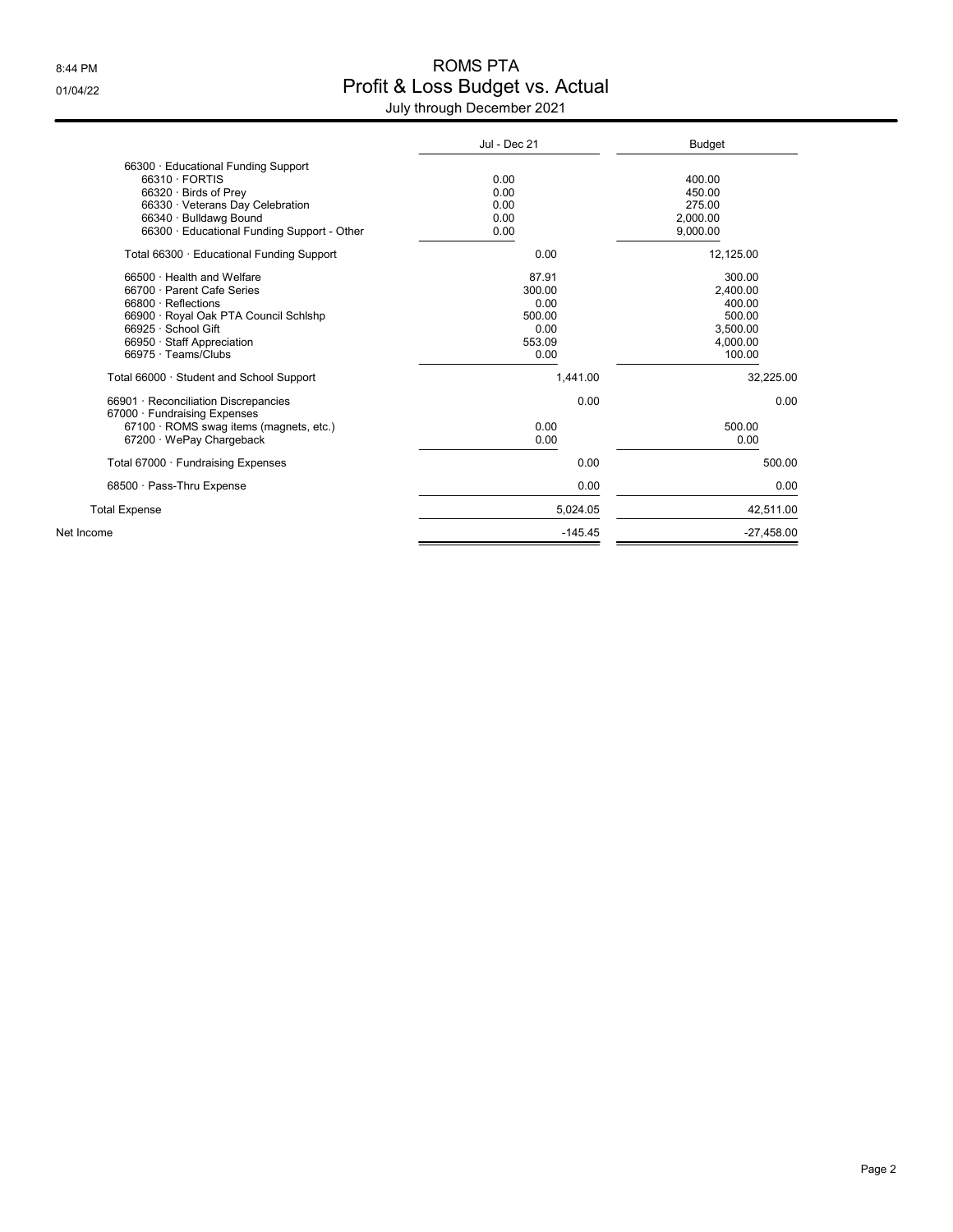## 8:44 PM ROMS PTA 01/04/22 Onlie Budget vs. Actual

| July through December 2021 |  |
|----------------------------|--|
|----------------------------|--|

|                                                                                                                                                                                                    | Jul - Dec 21                                                | <b>Budget</b>                                                            |
|----------------------------------------------------------------------------------------------------------------------------------------------------------------------------------------------------|-------------------------------------------------------------|--------------------------------------------------------------------------|
| 66300 · Educational Funding Support<br>66310 · FORTIS<br>66320 · Birds of Prey<br>66330 · Veterans Day Celebration<br>66340 · Bulldawg Bound<br>66300 · Educational Funding Support - Other        | 0.00<br>0.00<br>0.00<br>0.00<br>0.00                        | 400.00<br>450.00<br>275.00<br>2.000.00<br>9,000.00                       |
| Total 66300 · Educational Funding Support                                                                                                                                                          | 0.00                                                        | 12,125.00                                                                |
| 66500 · Health and Welfare<br>66700 · Parent Cafe Series<br>66800 · Reflections<br>66900 · Royal Oak PTA Council Schlshp<br>66925 · School Gift<br>66950 Staff Appreciation<br>66975 · Teams/Clubs | 87.91<br>300.00<br>0.00<br>500.00<br>0.00<br>553.09<br>0.00 | 300.00<br>2.400.00<br>400.00<br>500.00<br>3,500.00<br>4,000.00<br>100.00 |
| Total 66000 · Student and School Support                                                                                                                                                           | 1.441.00                                                    | 32,225.00                                                                |
| 66901 Reconciliation Discrepancies<br>67000 · Fundraising Expenses<br>67100 · ROMS swag items (magnets, etc.)<br>67200 · WePay Chargeback                                                          | 0.00<br>0.00<br>0.00                                        | 0.00<br>500.00<br>0.00                                                   |
| Total 67000 · Fundraising Expenses                                                                                                                                                                 | 0.00                                                        | 500.00                                                                   |
| 68500 · Pass-Thru Expense                                                                                                                                                                          | 0.00                                                        | 0.00                                                                     |
| <b>Total Expense</b>                                                                                                                                                                               | 5.024.05                                                    | 42,511.00                                                                |
| Net Income                                                                                                                                                                                         | $-145.45$                                                   | $-27,458.00$                                                             |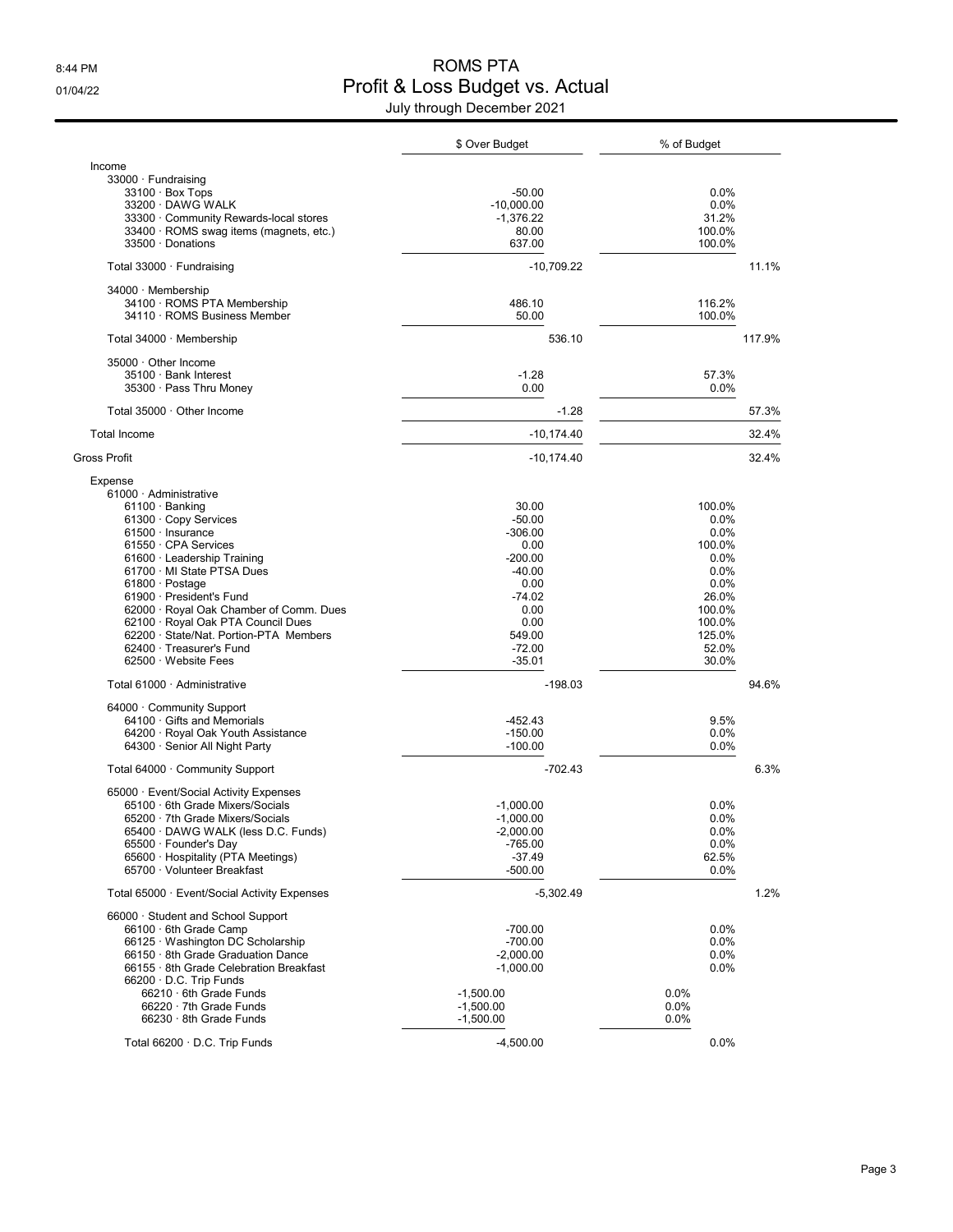## 8:44 PM ROMS PTA 01/04/22 Onlie Profit & Loss Budget vs. Actual July through December 2021

|                                                             | \$ Over Budget        | % of Budget       |        |
|-------------------------------------------------------------|-----------------------|-------------------|--------|
| Income                                                      |                       |                   |        |
| 33000 · Fundraising                                         |                       |                   |        |
| 33100 · Box Tops                                            | $-50.00$              | 0.0%              |        |
| 33200 DAWG WALK                                             | $-10,000.00$          | 0.0%              |        |
| 33300 Community Rewards-local stores                        | $-1,376.22$           | 31.2%             |        |
| 33400 · ROMS swag items (magnets, etc.)                     | 80.00                 | 100.0%            |        |
| 33500 Donations                                             | 637.00                | 100.0%            |        |
| Total 33000 · Fundraising                                   | $-10,709.22$          |                   | 11.1%  |
| 34000 Membership                                            |                       |                   |        |
| 34100 · ROMS PTA Membership                                 | 486.10                | 116.2%            |        |
| 34110 · ROMS Business Member                                | 50.00                 | 100.0%            |        |
| Total 34000 · Membership                                    | 536.10                |                   | 117.9% |
| 35000 Other Income                                          |                       |                   |        |
| 35100 · Bank Interest                                       | $-1.28$               | 57.3%             |        |
| 35300 · Pass Thru Money                                     | 0.00                  | 0.0%              |        |
| Total 35000 Other Income                                    | $-1.28$               |                   | 57.3%  |
| <b>Total Income</b>                                         | $-10, 174.40$         |                   | 32.4%  |
| Gross Profit                                                | $-10,174.40$          |                   | 32.4%  |
| Expense                                                     |                       |                   |        |
| 61000 Administrative                                        |                       |                   |        |
| $61100 \cdot$ Banking                                       | 30.00                 | 100.0%            |        |
| 61300 Copy Services                                         | $-50.00$              | 0.0%              |        |
| 61500 · Insurance<br>61550 · CPA Services                   | $-306.00$             | $0.0\%$<br>100.0% |        |
| 61600 · Leadership Training                                 | 0.00<br>$-200.00$     | 0.0%              |        |
| 61700 MI State PTSA Dues                                    | $-40.00$              | 0.0%              |        |
| $61800 \cdot$ Postage                                       | 0.00                  | 0.0%              |        |
| 61900 President's Fund                                      | $-74.02$              | 26.0%             |        |
| 62000 · Royal Oak Chamber of Comm. Dues                     | 0.00                  | 100.0%            |        |
| 62100 · Royal Oak PTA Council Dues                          | 0.00                  | 100.0%            |        |
| 62200 · State/Nat. Portion-PTA Members                      | 549.00                | 125.0%            |        |
| 62400 · Treasurer's Fund                                    | $-72.00$              | 52.0%             |        |
| 62500 · Website Fees                                        | $-35.01$              | 30.0%             |        |
| Total 61000 Administrative                                  | $-198.03$             |                   | 94.6%  |
| 64000 Community Support                                     |                       |                   |        |
| 64100 Gifts and Memorials                                   | $-452.43$             | 9.5%              |        |
| 64200 · Royal Oak Youth Assistance                          | $-150.00$             | 0.0%              |        |
| 64300 Senior All Night Party                                | $-100.00$             | 0.0%              |        |
| Total 64000 Community Support                               | $-702.43$             |                   | 6.3%   |
| 65000 · Event/Social Activity Expenses                      |                       |                   |        |
| 65100 6th Grade Mixers/Socials                              | $-1,000.00$           | $0.0\%$           |        |
| 65200 · 7th Grade Mixers/Socials                            | $-1,000.00$           | 0.0%              |        |
| 65400 · DAWG WALK (less D.C. Funds)                         | $-2,000.00$           | 0.0%              |        |
| 65500 · Founder's Day<br>65600 · Hospitality (PTA Meetings) | $-765.00$<br>$-37.49$ | 0.0%<br>62.5%     |        |
| 65700 Volunteer Breakfast                                   | $-500.00$             | 0.0%              |        |
| Total 65000 · Event/Social Activity Expenses                | $-5,302.49$           |                   | 1.2%   |
| 66000 · Student and School Support                          |                       |                   |        |
| 66100 . 6th Grade Camp                                      | $-700.00$             | 0.0%              |        |
| 66125 Washington DC Scholarship                             | $-700.00$             | 0.0%              |        |
| 66150 · 8th Grade Graduation Dance                          | $-2,000.00$           | 0.0%              |        |
| 66155 8th Grade Celebration Breakfast                       | $-1,000.00$           | 0.0%              |        |
| 66200 D.C. Trip Funds                                       |                       |                   |        |
| 66210 · 6th Grade Funds                                     | $-1,500.00$           | $0.0\%$           |        |
| 66220 · 7th Grade Funds                                     | $-1,500.00$           | $0.0\%$           |        |
| 66230 · 8th Grade Funds                                     | $-1,500.00$           | $0.0\%$           |        |
| Total 66200 D.C. Trip Funds                                 | $-4,500.00$           | 0.0%              |        |